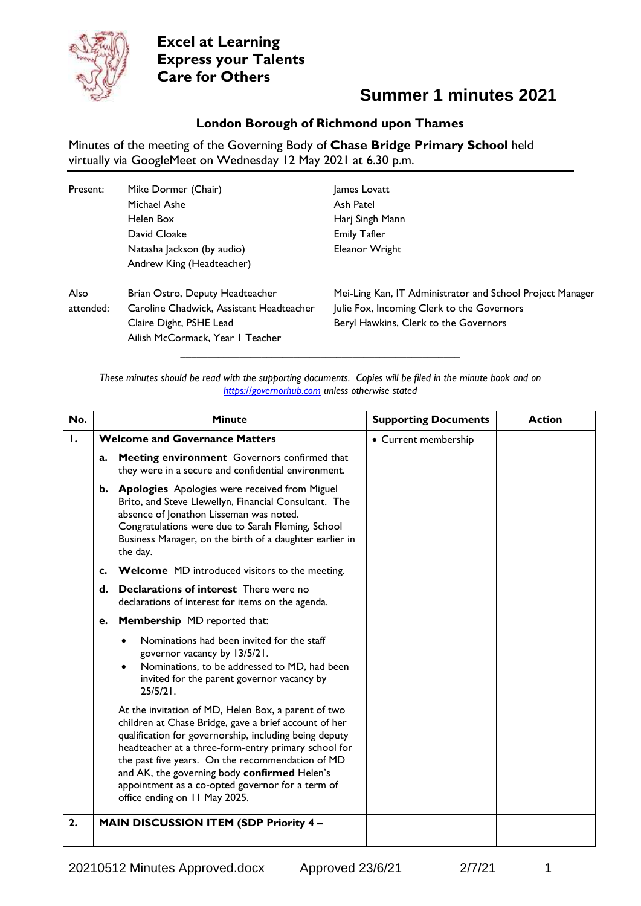

### **Summer 1 minutes 2021**

#### **London Borough of Richmond upon Thames**

Minutes of the meeting of the Governing Body of **Chase Bridge Primary School** held virtually via GoogleMeet on Wednesday 12 May 2021 at 6.30 p.m.

| Present:          | Mike Dormer (Chair)<br>Michael Ashe                                                                                                        | James Lovatt<br>Ash Patel                                                                                                                        |
|-------------------|--------------------------------------------------------------------------------------------------------------------------------------------|--------------------------------------------------------------------------------------------------------------------------------------------------|
|                   | Helen Box                                                                                                                                  | Harj Singh Mann                                                                                                                                  |
|                   | David Cloake                                                                                                                               | <b>Emily Tafler</b>                                                                                                                              |
|                   | Natasha Jackson (by audio)                                                                                                                 | Eleanor Wright                                                                                                                                   |
|                   | Andrew King (Headteacher)                                                                                                                  |                                                                                                                                                  |
| Also<br>attended: | Brian Ostro, Deputy Headteacher<br>Caroline Chadwick, Assistant Headteacher<br>Claire Dight, PSHE Lead<br>Ailish McCormack, Year I Teacher | Mei-Ling Kan, IT Administrator and School Project Manager<br>Julie Fox, Incoming Clerk to the Governors<br>Beryl Hawkins, Clerk to the Governors |

*These minutes should be read with the supporting documents. Copies will be filed in the minute book and on [https://governorhub.com](https://governorhub.com/) unless otherwise stated*

**\_\_\_\_\_\_\_\_\_\_\_\_\_\_\_\_\_\_\_\_\_\_\_\_\_\_\_\_\_\_\_\_\_\_\_\_\_\_\_\_\_\_\_\_\_\_\_\_\_\_\_\_**

| No. |    | <b>Minute</b>                                                                                                                                                                                                                                                                                                                                                                                                           | <b>Supporting Documents</b> | <b>Action</b> |
|-----|----|-------------------------------------------------------------------------------------------------------------------------------------------------------------------------------------------------------------------------------------------------------------------------------------------------------------------------------------------------------------------------------------------------------------------------|-----------------------------|---------------|
| Ι.  |    | <b>Welcome and Governance Matters</b>                                                                                                                                                                                                                                                                                                                                                                                   | • Current membership        |               |
|     | a. | Meeting environment Governors confirmed that<br>they were in a secure and confidential environment.                                                                                                                                                                                                                                                                                                                     |                             |               |
|     |    | b. Apologies Apologies were received from Miguel<br>Brito, and Steve Llewellyn, Financial Consultant. The<br>absence of Jonathon Lisseman was noted.<br>Congratulations were due to Sarah Fleming, School<br>Business Manager, on the birth of a daughter earlier in<br>the day.                                                                                                                                        |                             |               |
|     | c. | <b>Welcome</b> MD introduced visitors to the meeting.                                                                                                                                                                                                                                                                                                                                                                   |                             |               |
|     | d. | <b>Declarations of interest</b> There were no<br>declarations of interest for items on the agenda.                                                                                                                                                                                                                                                                                                                      |                             |               |
|     | е. | <b>Membership</b> MD reported that:                                                                                                                                                                                                                                                                                                                                                                                     |                             |               |
|     |    | Nominations had been invited for the staff<br>governor vacancy by 13/5/21.<br>Nominations, to be addressed to MD, had been<br>invited for the parent governor vacancy by<br>$25/5/21$ .                                                                                                                                                                                                                                 |                             |               |
|     |    | At the invitation of MD, Helen Box, a parent of two<br>children at Chase Bridge, gave a brief account of her<br>qualification for governorship, including being deputy<br>headteacher at a three-form-entry primary school for<br>the past five years. On the recommendation of MD<br>and AK, the governing body confirmed Helen's<br>appointment as a co-opted governor for a term of<br>office ending on 11 May 2025. |                             |               |
| 2.  |    | <b>MAIN DISCUSSION ITEM (SDP Priority 4-</b>                                                                                                                                                                                                                                                                                                                                                                            |                             |               |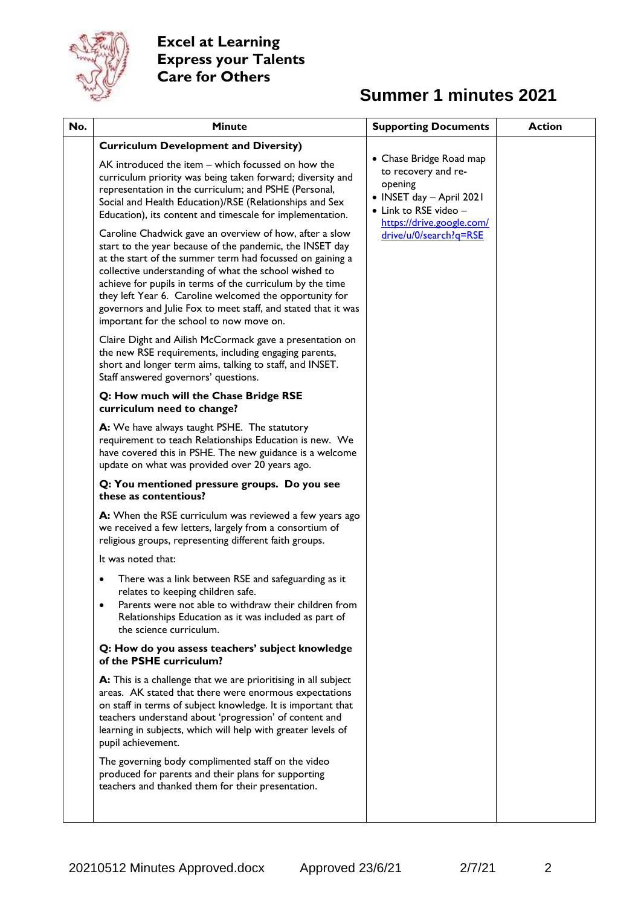

| No. | Minute                                                                                                                                                                                                                                                                                                                                                                                                                                                                         | <b>Supporting Documents</b>                                                               | <b>Action</b> |
|-----|--------------------------------------------------------------------------------------------------------------------------------------------------------------------------------------------------------------------------------------------------------------------------------------------------------------------------------------------------------------------------------------------------------------------------------------------------------------------------------|-------------------------------------------------------------------------------------------|---------------|
|     | <b>Curriculum Development and Diversity)</b><br>AK introduced the item – which focussed on how the<br>curriculum priority was being taken forward; diversity and                                                                                                                                                                                                                                                                                                               | • Chase Bridge Road map<br>to recovery and re-                                            |               |
|     | representation in the curriculum; and PSHE (Personal,<br>Social and Health Education)/RSE (Relationships and Sex<br>Education), its content and timescale for implementation.                                                                                                                                                                                                                                                                                                  | opening<br>• INSET day - April 2021<br>• Link to RSE video -<br>https://drive.google.com/ |               |
|     | Caroline Chadwick gave an overview of how, after a slow<br>start to the year because of the pandemic, the INSET day<br>at the start of the summer term had focussed on gaining a<br>collective understanding of what the school wished to<br>achieve for pupils in terms of the curriculum by the time<br>they left Year 6. Caroline welcomed the opportunity for<br>governors and Julie Fox to meet staff, and stated that it was<br>important for the school to now move on. | drive/u/0/search?g=RSE                                                                    |               |
|     | Claire Dight and Ailish McCormack gave a presentation on<br>the new RSE requirements, including engaging parents,<br>short and longer term aims, talking to staff, and INSET.<br>Staff answered governors' questions.                                                                                                                                                                                                                                                          |                                                                                           |               |
|     | Q: How much will the Chase Bridge RSE<br>curriculum need to change?                                                                                                                                                                                                                                                                                                                                                                                                            |                                                                                           |               |
|     | A: We have always taught PSHE. The statutory<br>requirement to teach Relationships Education is new. We<br>have covered this in PSHE. The new guidance is a welcome<br>update on what was provided over 20 years ago.                                                                                                                                                                                                                                                          |                                                                                           |               |
|     | Q: You mentioned pressure groups. Do you see<br>these as contentious?                                                                                                                                                                                                                                                                                                                                                                                                          |                                                                                           |               |
|     | A: When the RSE curriculum was reviewed a few years ago<br>we received a few letters, largely from a consortium of<br>religious groups, representing different faith groups.                                                                                                                                                                                                                                                                                                   |                                                                                           |               |
|     | It was noted that:                                                                                                                                                                                                                                                                                                                                                                                                                                                             |                                                                                           |               |
|     | There was a link between RSE and safeguarding as it<br>relates to keeping children safe.<br>Parents were not able to withdraw their children from<br>Relationships Education as it was included as part of<br>the science curriculum.                                                                                                                                                                                                                                          |                                                                                           |               |
|     | Q: How do you assess teachers' subject knowledge<br>of the PSHE curriculum?                                                                                                                                                                                                                                                                                                                                                                                                    |                                                                                           |               |
|     | A: This is a challenge that we are prioritising in all subject<br>areas. AK stated that there were enormous expectations<br>on staff in terms of subject knowledge. It is important that<br>teachers understand about 'progression' of content and<br>learning in subjects, which will help with greater levels of<br>pupil achievement.                                                                                                                                       |                                                                                           |               |
|     | The governing body complimented staff on the video<br>produced for parents and their plans for supporting<br>teachers and thanked them for their presentation.                                                                                                                                                                                                                                                                                                                 |                                                                                           |               |
|     |                                                                                                                                                                                                                                                                                                                                                                                                                                                                                |                                                                                           |               |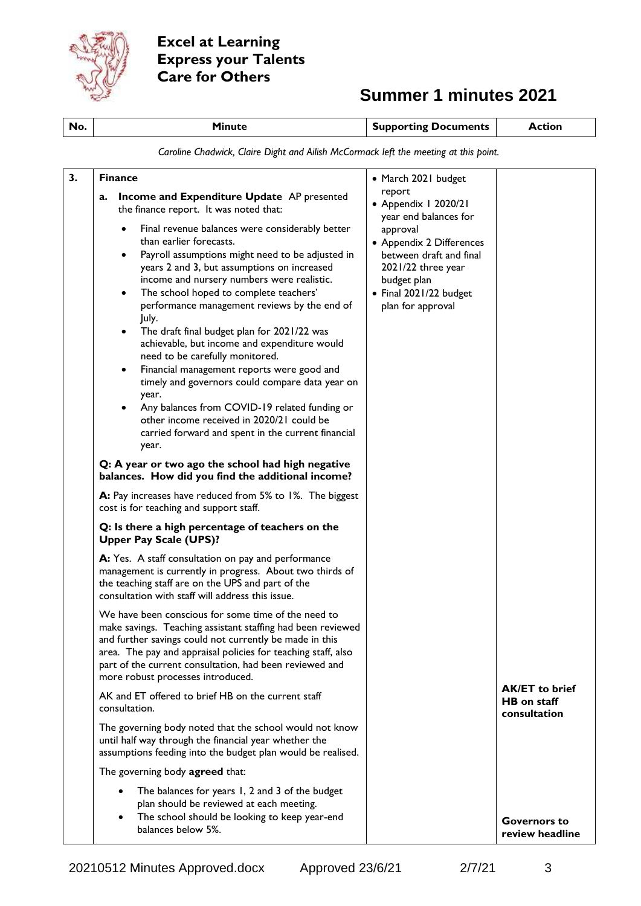

| No. | <b>Minute</b>                                                                                                                                                                                                                                                                                                                                                                                                                                                                                                                                                                                                                                                                                                                                                                                                                                                                                                                                                                                                                                                                                                                                                                                                                                                                                                                                                                                                                                                                                                                | <b>Supporting Documents</b>                                                                                                                                                                                                           | <b>Action</b>                          |
|-----|------------------------------------------------------------------------------------------------------------------------------------------------------------------------------------------------------------------------------------------------------------------------------------------------------------------------------------------------------------------------------------------------------------------------------------------------------------------------------------------------------------------------------------------------------------------------------------------------------------------------------------------------------------------------------------------------------------------------------------------------------------------------------------------------------------------------------------------------------------------------------------------------------------------------------------------------------------------------------------------------------------------------------------------------------------------------------------------------------------------------------------------------------------------------------------------------------------------------------------------------------------------------------------------------------------------------------------------------------------------------------------------------------------------------------------------------------------------------------------------------------------------------------|---------------------------------------------------------------------------------------------------------------------------------------------------------------------------------------------------------------------------------------|----------------------------------------|
|     | Caroline Chadwick, Claire Dight and Ailish McCormack left the meeting at this point.                                                                                                                                                                                                                                                                                                                                                                                                                                                                                                                                                                                                                                                                                                                                                                                                                                                                                                                                                                                                                                                                                                                                                                                                                                                                                                                                                                                                                                         |                                                                                                                                                                                                                                       |                                        |
| 3.  | <b>Finance</b><br>Income and Expenditure Update AP presented<br>a.<br>the finance report. It was noted that:<br>Final revenue balances were considerably better<br>than earlier forecasts.<br>Payroll assumptions might need to be adjusted in<br>years 2 and 3, but assumptions on increased<br>income and nursery numbers were realistic.<br>The school hoped to complete teachers'<br>performance management reviews by the end of<br>July.<br>The draft final budget plan for 2021/22 was<br>achievable, but income and expenditure would<br>need to be carefully monitored.<br>Financial management reports were good and<br>$\bullet$<br>timely and governors could compare data year on<br>year.<br>Any balances from COVID-19 related funding or<br>other income received in 2020/21 could be<br>carried forward and spent in the current financial<br>year.<br>Q: A year or two ago the school had high negative<br>balances. How did you find the additional income?<br>A: Pay increases have reduced from 5% to 1%. The biggest<br>cost is for teaching and support staff.<br>Q: Is there a high percentage of teachers on the<br><b>Upper Pay Scale (UPS)?</b><br>A: Yes. A staff consultation on pay and performance<br>management is currently in progress. About two thirds of<br>the teaching staff are on the UPS and part of the<br>consultation with staff will address this issue.<br>We have been conscious for some time of the need to<br>make savings. Teaching assistant staffing had been reviewed | • March 2021 budget<br>report<br>• Appendix I 2020/21<br>year end balances for<br>approval<br>• Appendix 2 Differences<br>between draft and final<br>2021/22 three year<br>budget plan<br>• Final 2021/22 budget<br>plan for approval |                                        |
|     | and further savings could not currently be made in this<br>area. The pay and appraisal policies for teaching staff, also<br>part of the current consultation, had been reviewed and<br>more robust processes introduced.                                                                                                                                                                                                                                                                                                                                                                                                                                                                                                                                                                                                                                                                                                                                                                                                                                                                                                                                                                                                                                                                                                                                                                                                                                                                                                     |                                                                                                                                                                                                                                       |                                        |
|     | AK and ET offered to brief HB on the current staff<br>consultation.                                                                                                                                                                                                                                                                                                                                                                                                                                                                                                                                                                                                                                                                                                                                                                                                                                                                                                                                                                                                                                                                                                                                                                                                                                                                                                                                                                                                                                                          |                                                                                                                                                                                                                                       | <b>AK/ET to brief</b><br>HB on staff   |
|     | The governing body noted that the school would not know<br>until half way through the financial year whether the<br>assumptions feeding into the budget plan would be realised.                                                                                                                                                                                                                                                                                                                                                                                                                                                                                                                                                                                                                                                                                                                                                                                                                                                                                                                                                                                                                                                                                                                                                                                                                                                                                                                                              |                                                                                                                                                                                                                                       | <b>consultation</b>                    |
|     | The governing body agreed that:                                                                                                                                                                                                                                                                                                                                                                                                                                                                                                                                                                                                                                                                                                                                                                                                                                                                                                                                                                                                                                                                                                                                                                                                                                                                                                                                                                                                                                                                                              |                                                                                                                                                                                                                                       |                                        |
|     | The balances for years 1, 2 and 3 of the budget<br>$\bullet$<br>plan should be reviewed at each meeting.<br>The school should be looking to keep year-end<br>balances below 5%.                                                                                                                                                                                                                                                                                                                                                                                                                                                                                                                                                                                                                                                                                                                                                                                                                                                                                                                                                                                                                                                                                                                                                                                                                                                                                                                                              |                                                                                                                                                                                                                                       | <b>Governors to</b><br>review headline |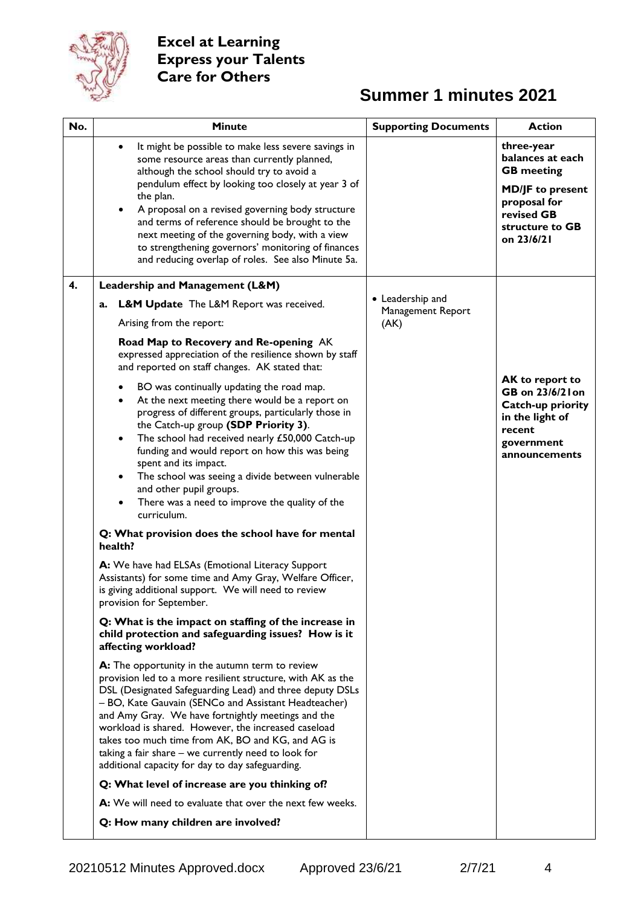

| No. | <b>Minute</b>                                                                                                                                                                                                                                                                                                                                                                                                                                                                                                                                                                                                                                                                                                                                                                                                                                                                             | <b>Supporting Documents</b>                   | <b>Action</b>                                                                                                                                 |
|-----|-------------------------------------------------------------------------------------------------------------------------------------------------------------------------------------------------------------------------------------------------------------------------------------------------------------------------------------------------------------------------------------------------------------------------------------------------------------------------------------------------------------------------------------------------------------------------------------------------------------------------------------------------------------------------------------------------------------------------------------------------------------------------------------------------------------------------------------------------------------------------------------------|-----------------------------------------------|-----------------------------------------------------------------------------------------------------------------------------------------------|
|     | It might be possible to make less severe savings in<br>$\bullet$<br>some resource areas than currently planned,<br>although the school should try to avoid a<br>pendulum effect by looking too closely at year 3 of<br>the plan.<br>A proposal on a revised governing body structure<br>and terms of reference should be brought to the<br>next meeting of the governing body, with a view<br>to strengthening governors' monitoring of finances<br>and reducing overlap of roles. See also Minute 5a.                                                                                                                                                                                                                                                                                                                                                                                    |                                               | three-year<br>balances at each<br><b>GB</b> meeting<br><b>MD/JF</b> to present<br>proposal for<br>revised GB<br>structure to GB<br>on 23/6/21 |
| 4.  | Leadership and Management (L&M)                                                                                                                                                                                                                                                                                                                                                                                                                                                                                                                                                                                                                                                                                                                                                                                                                                                           |                                               |                                                                                                                                               |
|     | L&M Update The L&M Report was received.<br>a.<br>Arising from the report:<br>Road Map to Recovery and Re-opening AK                                                                                                                                                                                                                                                                                                                                                                                                                                                                                                                                                                                                                                                                                                                                                                       | • Leadership and<br>Management Report<br>(AK) |                                                                                                                                               |
|     | expressed appreciation of the resilience shown by staff<br>and reported on staff changes. AK stated that:<br>BO was continually updating the road map.<br>٠<br>At the next meeting there would be a report on<br>$\bullet$<br>progress of different groups, particularly those in<br>the Catch-up group (SDP Priority 3).<br>The school had received nearly £50,000 Catch-up<br>$\bullet$<br>funding and would report on how this was being<br>spent and its impact.<br>The school was seeing a divide between vulnerable<br>and other pupil groups.<br>There was a need to improve the quality of the<br>curriculum.<br>Q: What provision does the school have for mental<br>health?<br>A: We have had ELSAs (Emotional Literacy Support<br>Assistants) for some time and Amy Gray, Welfare Officer,<br>is giving additional support. We will need to review<br>provision for September. |                                               | AK to report to<br>GB on 23/6/21 on<br>Catch-up priority<br>in the light of<br>recent<br>government<br>announcements                          |
|     | Q: What is the impact on staffing of the increase in<br>child protection and safeguarding issues? How is it<br>affecting workload?                                                                                                                                                                                                                                                                                                                                                                                                                                                                                                                                                                                                                                                                                                                                                        |                                               |                                                                                                                                               |
|     | A: The opportunity in the autumn term to review<br>provision led to a more resilient structure, with AK as the<br>DSL (Designated Safeguarding Lead) and three deputy DSLs<br>- BO, Kate Gauvain (SENCo and Assistant Headteacher)<br>and Amy Gray. We have fortnightly meetings and the<br>workload is shared. However, the increased caseload<br>takes too much time from AK, BO and KG, and AG is<br>taking a fair share $-$ we currently need to look for<br>additional capacity for day to day safeguarding.                                                                                                                                                                                                                                                                                                                                                                         |                                               |                                                                                                                                               |
|     | Q: What level of increase are you thinking of?                                                                                                                                                                                                                                                                                                                                                                                                                                                                                                                                                                                                                                                                                                                                                                                                                                            |                                               |                                                                                                                                               |
|     | A: We will need to evaluate that over the next few weeks.                                                                                                                                                                                                                                                                                                                                                                                                                                                                                                                                                                                                                                                                                                                                                                                                                                 |                                               |                                                                                                                                               |
|     | Q: How many children are involved?                                                                                                                                                                                                                                                                                                                                                                                                                                                                                                                                                                                                                                                                                                                                                                                                                                                        |                                               |                                                                                                                                               |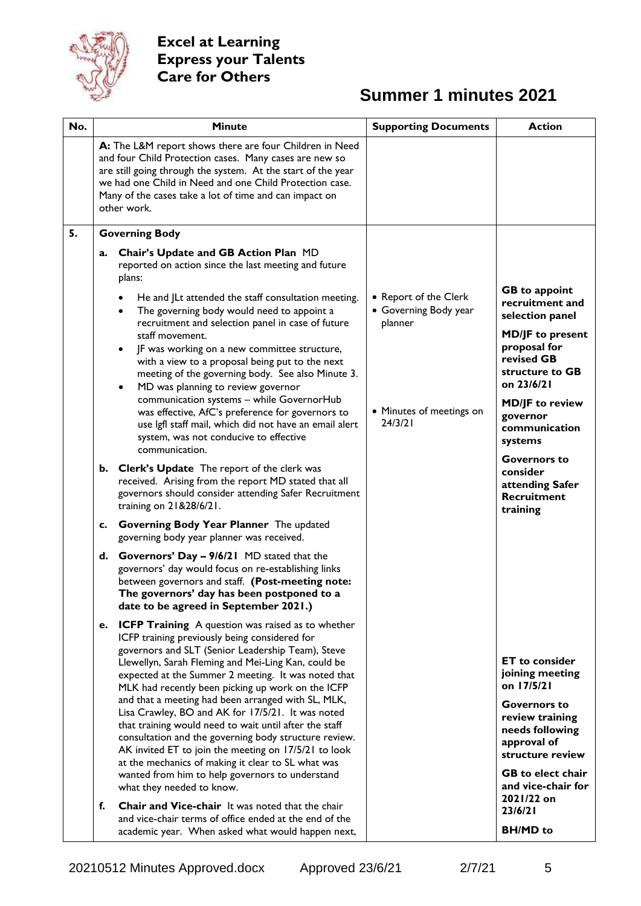

| No. | <b>Minute</b>                                                                                                                                                                                                                                                                                                                                                                                                                                      | <b>Supporting Documents</b>                               | <b>Action</b>                                                                                     |
|-----|----------------------------------------------------------------------------------------------------------------------------------------------------------------------------------------------------------------------------------------------------------------------------------------------------------------------------------------------------------------------------------------------------------------------------------------------------|-----------------------------------------------------------|---------------------------------------------------------------------------------------------------|
|     | A: The L&M report shows there are four Children in Need<br>and four Child Protection cases. Many cases are new so<br>are still going through the system. At the start of the year<br>we had one Child in Need and one Child Protection case.<br>Many of the cases take a lot of time and can impact on<br>other work.                                                                                                                              |                                                           |                                                                                                   |
| 5.  | <b>Governing Body</b>                                                                                                                                                                                                                                                                                                                                                                                                                              |                                                           |                                                                                                   |
|     | Chair's Update and GB Action Plan MD<br>a.<br>reported on action since the last meeting and future<br>plans:                                                                                                                                                                                                                                                                                                                                       |                                                           |                                                                                                   |
|     | He and JLt attended the staff consultation meeting.<br>The governing body would need to appoint a<br>$\bullet$<br>recruitment and selection panel in case of future                                                                                                                                                                                                                                                                                | • Report of the Clerk<br>• Governing Body year<br>planner | <b>GB</b> to appoint<br>recruitment and<br>selection panel                                        |
|     | staff movement.<br>JF was working on a new committee structure,<br>with a view to a proposal being put to the next<br>meeting of the governing body. See also Minute 3.<br>MD was planning to review governor<br>٠                                                                                                                                                                                                                                 |                                                           | <b>MD/JF</b> to present<br>proposal for<br>revised GB<br>structure to GB<br>on 23/6/21            |
|     | communication systems - while GovernorHub<br>was effective, AfC's preference for governors to<br>use lgfl staff mail, which did not have an email alert<br>system, was not conducive to effective<br>communication.                                                                                                                                                                                                                                | • Minutes of meetings on<br>24/3/21                       | <b>MD/JF</b> to review<br>governor<br>communication<br>systems                                    |
|     | b. Clerk's Update The report of the clerk was<br>received. Arising from the report MD stated that all<br>governors should consider attending Safer Recruitment<br>training on 21&28/6/21.                                                                                                                                                                                                                                                          |                                                           | <b>Governors to</b><br>consider<br>attending Safer<br><b>Recruitment</b><br>training              |
|     | c. Governing Body Year Planner The updated<br>governing body year planner was received.                                                                                                                                                                                                                                                                                                                                                            |                                                           |                                                                                                   |
|     | d. Governors' Day - 9/6/21 MD stated that the<br>governors' day would focus on re-establishing links<br>between governors and staff. (Post-meeting note:<br>The governors' day has been postponed to a<br>date to be agreed in September 2021.)                                                                                                                                                                                                    |                                                           |                                                                                                   |
|     | <b>ICFP Training</b> A question was raised as to whether<br>e.<br>ICFP training previously being considered for<br>governors and SLT (Senior Leadership Team), Steve<br>Llewellyn, Sarah Fleming and Mei-Ling Kan, could be<br>expected at the Summer 2 meeting. It was noted that<br>MLK had recently been picking up work on the ICFP<br>and that a meeting had been arranged with SL, MLK,<br>Lisa Crawley, BO and AK for 17/5/21. It was noted |                                                           | <b>ET</b> to consider<br>joining meeting<br>on 17/5/21<br><b>Governors to</b>                     |
|     | that training would need to wait until after the staff<br>consultation and the governing body structure review.<br>AK invited ET to join the meeting on 17/5/21 to look<br>at the mechanics of making it clear to SL what was                                                                                                                                                                                                                      |                                                           | review training<br>needs following<br>approval of<br>structure review<br><b>GB</b> to elect chair |
|     | wanted from him to help governors to understand<br>what they needed to know.                                                                                                                                                                                                                                                                                                                                                                       |                                                           | and vice-chair for<br>2021/22 on                                                                  |
|     | <b>Chair and Vice-chair</b> It was noted that the chair<br>f.<br>and vice-chair terms of office ended at the end of the<br>academic year. When asked what would happen next,                                                                                                                                                                                                                                                                       |                                                           | 23/6/21<br><b>BH/MD</b> to                                                                        |